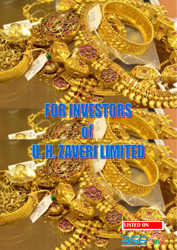## FOR INVESTORS Turkel

# U. H. ZAVEN UMITED

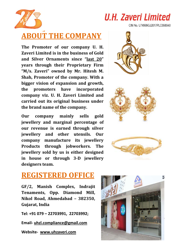

### **U.H. Zaveri Limited**

CIN No. U74999GJ2017PLC098848

#### **ABOUT THE COMPANY**

**The Promoter of our company U. H. Zaveri Limited is in the business of Gold and Silver Ornaments since "last 20" years through their Proprietary Firm "M/s. Zaveri" owned by Mr. Hitesh M. Shah, Promoter of the company. With a bigger vision of expansion and growth, the promoters have incorporated company viz. U. H. Zaveri Limited and carried out its original business under the brand name of the company.**

**Our company mainly sells gold jewellery and marginal percentage of our revenue is earned through silver jewellery and other utensils. Our company manufacture its jewellery Products through jobworkers. The jewellery sold by us is either designed in house or through 3‐D jewellery designers team.**





#### **REGISTERED OFFICE**

**GF/2, Manish Complex, Indrajit Tenaments, Opp. Diamond Mill, Nikol Road, Ahmedabad – 382350, Gujarat, India** 

**Tel: +91 079 – 22703991, 22703992;**

**Email‐ uhzl.compliance@gmail.com**

**Website‐ www.uhzaveri.com** 

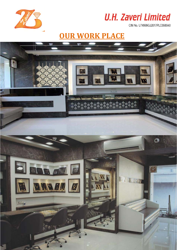



#### **OUR WORK PLACE**

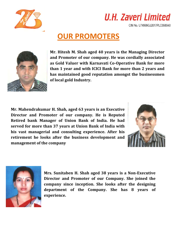



#### **OUR PROMOTERS**



**Mr. Hitesh M. Shah aged 40 years is the Managing Director and Promoter of our company. He was cordially associated as Gold Valuer with Karnavati Co‐Operative Bank for more than 1 year and with ICICI Bank for more than 2 years and has maintained good reputation amongst the businessmen of local gold Industry.**

**Mr. Mahendrakumar H. Shah, aged 63 years is an Executive Director and Promoter of our company. He is Reputed Retired bank Manager of Union Bank of India. He had served for more than 37 years at Union Bank of India with his vast managerial and consulting experience. After his retirement he looks after the business development and management of the company**





**Mrs. Sunitaben H. Shah aged 38 years is a Non‐Executive Director and Promoter of our Company. She joined the company since inception. She looks after the designing department of the Company. She has 8 years of experience.**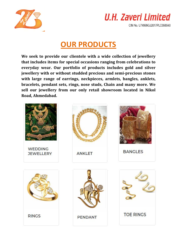



#### **OUR PRODUCTS**

**We seek to provide our clientele with a wide collection of jewellery that includes items for special occasions ranging from celebrations to everyday wear. Our portfolio of products includes gold and silver jewellery with or without studded precious and semi‐precious stones with large range of earrings, neckpieces, armlets, bangles, anklets, bracelets, pendant sets, rings, nose studs, Chain and many more. We sell our jewellery from our only retail showroom located in Nikol Road, Ahmedabad.**

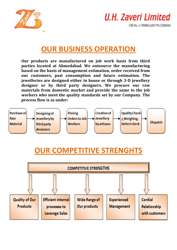



#### **OUR BUSINESS OPERATION**

**Our products are manufactured on job work basis from third parties located at Ahmedabad. We outsource the manufacturing based on the basis of management estimation, order received from our customers, past consumption and future estimation. The jewelleries are designed either in house or through 3‐D jewellery designer or by third party designers. We procure our raw materials from domestic market and provide the same to the job workers who meet the quality standards set by our Company. The process flow is as under:**



#### **OUR COMPETITIVE STRENGHTS**

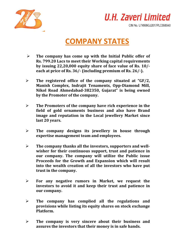

### **U.H. Zaveri Limited**

CIN No. U74999GJ2017PLC098848

#### **COMPANY STATES**

- **The company has come up with the Initial Public offer of Rs. 799.20 Lacs to meet their Working capital requirements by issuing 22,20,000 equity share of face value of Rs. 10/‐ each** at price of Rs. 36/- (including premium of Rs. 26/-).
- **The registered office of the company situated at "GF/2, Manish Complex, Indrajit Tenaments, Opp‐Diamond Mill, Nikol Road Ahmedabad‐382350, Gujarat" is being owned by the Promoter of the company.**
- **The Promoters of the company have rich experience in the field of gold ornaments business and also have Brand image and reputation in the Local jewellery Market since last 20 years.**
- **The company designs its jewellery in house through expertise management team and employees.**
- **The company thanks all the investors, supporters and well‐ wisher for their continuous support, trust and patience in our company. The company will utilize the Public issue Proceeds for the Growth and Expansion which will result into the wealth creation of all the investors who have put trust in the company.**
- **For any negative rumors in Market, we request the investors to avoid it and keep their trust and patience in our company.**
- **The company has complied all the regulations and provisions while listing its equity shares on stock exchange Platform.**
- **The company is very sincere about their business and assures the investors that their money is in safe hands.**